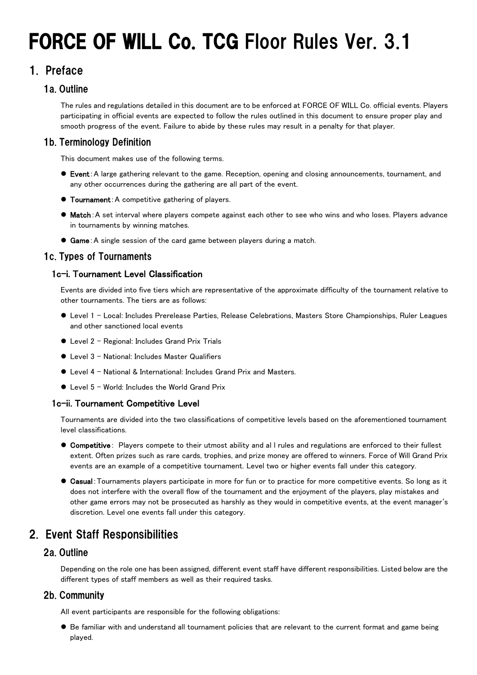# FORCE OF WILL Co. TCG Floor Rules Ver. 3.1

# 1. Preface

# 1a. Outline

The rules and regulations detailed in this document are to be enforced at FORCE OF WILL Co. official events. Players participating in official events are expected to follow the rules outlined in this document to ensure proper play and smooth progress of the event. Failure to abide by these rules may result in a penalty for that player.

# 1b. Terminology Definition

This document makes use of the following terms.

- Event:A large gathering relevant to the game. Reception, opening and closing announcements, tournament, and any other occurrences during the gathering are all part of the event.
- **Tournament:** A competitive gathering of players.
- $\bullet$  Match: A set interval where players compete against each other to see who wins and who loses. Players advance in tournaments by winning matches.
- **Game:** A single session of the card game between players during a match.

# 1c. Types of Tournaments

# 1c-i. Tournament Level Classification

Events are divided into five tiers which are representative of the approximate difficulty of the tournament relative to other tournaments. The tiers are as follows:

- Level 1 Local: Includes Prerelease Parties, Release Celebrations, Masters Store Championships, Ruler Leagues and other sanctioned local events
- Level 2 Regional: Includes Grand Prix Trials
- Level 3 National: Includes Master Qualifiers
- Level 4 National & International: Includes Grand Prix and Masters.
- Level 5 World: Includes the World Grand Prix

#### 1c-ii. Tournament Competitive Level

Tournaments are divided into the two classifications of competitive levels based on the aforementioned tournament level classifications.

- **Competitive**: Players compete to their utmost ability and all rules and regulations are enforced to their fullest extent. Often prizes such as rare cards, trophies, and prize money are offered to winners. Force of Will Grand Prix events are an example of a competitive tournament. Level two or higher events fall under this category.
- Casual:Tournaments players participate in more for fun or to practice for more competitive events. So long as it does not interfere with the overall flow of the tournament and the enjoyment of the players, play mistakes and other game errors may not be prosecuted as harshly as they would in competitive events, at the event manager's discretion. Level one events fall under this category.

# 2. Event Staff Responsibilities

# 2a. Outline

Depending on the role one has been assigned, different event staff have different responsibilities. Listed below are the different types of staff members as well as their required tasks.

# 2b. Community

All event participants are responsible for the following obligations:

 Be familiar with and understand all tournament policies that are relevant to the current format and game being played.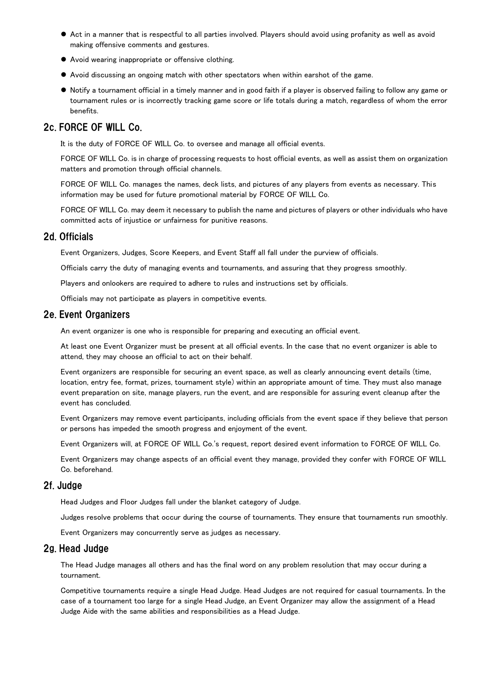- Act in a manner that is respectful to all parties involved. Players should avoid using profanity as well as avoid making offensive comments and gestures.
- Avoid wearing inappropriate or offensive clothing.
- Avoid discussing an ongoing match with other spectators when within earshot of the game.
- Notify a tournament official in a timely manner and in good faith if a player is observed failing to follow any game or tournament rules or is incorrectly tracking game score or life totals during a match, regardless of whom the error benefits.

# 2c. FORCE OF WILL Co.

It is the duty of FORCE OF WILL Co. to oversee and manage all official events.

FORCE OF WILL Co. is in charge of processing requests to host official events, as well as assist them on organization matters and promotion through official channels.

FORCE OF WILL Co. manages the names, deck lists, and pictures of any players from events as necessary. This information may be used for future promotional material by FORCE OF WILL Co.

FORCE OF WILL Co. may deem it necessary to publish the name and pictures of players or other individuals who have committed acts of injustice or unfairness for punitive reasons.

# 2d. Officials

Event Organizers, Judges, Score Keepers, and Event Staff all fall under the purview of officials.

Officials carry the duty of managing events and tournaments, and assuring that they progress smoothly.

Players and onlookers are required to adhere to rules and instructions set by officials.

Officials may not participate as players in competitive events.

# 2e. Event Organizers

An event organizer is one who is responsible for preparing and executing an official event.

At least one Event Organizer must be present at all official events. In the case that no event organizer is able to attend, they may choose an official to act on their behalf.

Event organizers are responsible for securing an event space, as well as clearly announcing event details (time, location, entry fee, format, prizes, tournament style) within an appropriate amount of time. They must also manage event preparation on site, manage players, run the event, and are responsible for assuring event cleanup after the event has concluded.

Event Organizers may remove event participants, including officials from the event space if they believe that person or persons has impeded the smooth progress and enjoyment of the event.

Event Organizers will, at FORCE OF WILL Co.'s request, report desired event information to FORCE OF WILL Co.

Event Organizers may change aspects of an official event they manage, provided they confer with FORCE OF WILL Co. beforehand.

#### 2f. Judge

Head Judges and Floor Judges fall under the blanket category of Judge.

Judges resolve problems that occur during the course of tournaments. They ensure that tournaments run smoothly.

Event Organizers may concurrently serve as judges as necessary.

#### 2g. Head Judge

The Head Judge manages all others and has the final word on any problem resolution that may occur during a tournament.

Competitive tournaments require a single Head Judge. Head Judges are not required for casual tournaments. In the case of a tournament too large for a single Head Judge, an Event Organizer may allow the assignment of a Head Judge Aide with the same abilities and responsibilities as a Head Judge.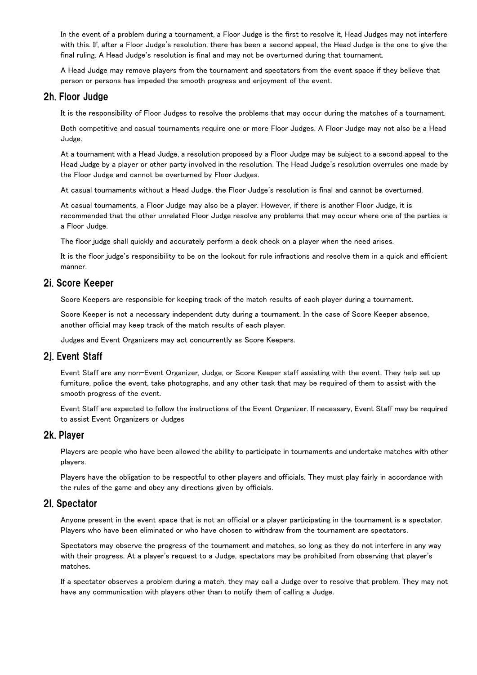In the event of a problem during a tournament, a Floor Judge is the first to resolve it, Head Judges may not interfere with this. If, after a Floor Judge's resolution, there has been a second appeal, the Head Judge is the one to give the final ruling. A Head Judge's resolution is final and may not be overturned during that tournament.

A Head Judge may remove players from the tournament and spectators from the event space if they believe that person or persons has impeded the smooth progress and enjoyment of the event.

#### 2h. Floor Judge

It is the responsibility of Floor Judges to resolve the problems that may occur during the matches of a tournament.

Both competitive and casual tournaments require one or more Floor Judges. A Floor Judge may not also be a Head Judge.

At a tournament with a Head Judge, a resolution proposed by a Floor Judge may be subject to a second appeal to the Head Judge by a player or other party involved in the resolution. The Head Judge's resolution overrules one made by the Floor Judge and cannot be overturned by Floor Judges.

At casual tournaments without a Head Judge, the Floor Judge's resolution is final and cannot be overturned.

At casual tournaments, a Floor Judge may also be a player. However, if there is another Floor Judge, it is recommended that the other unrelated Floor Judge resolve any problems that may occur where one of the parties is a Floor Judge.

The floor judge shall quickly and accurately perform a deck check on a player when the need arises.

It is the floor judge's responsibility to be on the lookout for rule infractions and resolve them in a quick and efficient manner.

#### 2i. Score Keeper

Score Keepers are responsible for keeping track of the match results of each player during a tournament.

Score Keeper is not a necessary independent duty during a tournament. In the case of Score Keeper absence, another official may keep track of the match results of each player.

Judges and Event Organizers may act concurrently as Score Keepers.

#### 2j. Event Staff

Event Staff are any non-Event Organizer, Judge, or Score Keeper staff assisting with the event. They help set up furniture, police the event, take photographs, and any other task that may be required of them to assist with the smooth progress of the event.

Event Staff are expected to follow the instructions of the Event Organizer. If necessary, Event Staff may be required to assist Event Organizers or Judges

#### 2k. Player

Players are people who have been allowed the ability to participate in tournaments and undertake matches with other players.

Players have the obligation to be respectful to other players and officials. They must play fairly in accordance with the rules of the game and obey any directions given by officials.

#### 2l. Spectator

Anyone present in the event space that is not an official or a player participating in the tournament is a spectator. Players who have been eliminated or who have chosen to withdraw from the tournament are spectators.

Spectators may observe the progress of the tournament and matches, so long as they do not interfere in any way with their progress. At a player's request to a Judge, spectators may be prohibited from observing that player's matches.

If a spectator observes a problem during a match, they may call a Judge over to resolve that problem. They may not have any communication with players other than to notify them of calling a Judge.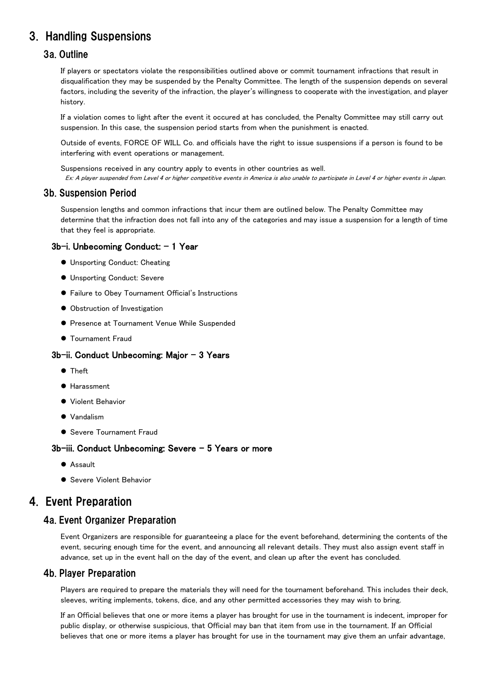# 3. Handling Suspensions

## 3a. Outline

If players or spectators violate the responsibilities outlined above or commit tournament infractions that result in disqualification they may be suspended by the Penalty Committee. The length of the suspension depends on several factors, including the severity of the infraction, the player's willingness to cooperate with the investigation, and player history.

If a violation comes to light after the event it occured at has concluded, the Penalty Committee may still carry out suspension. In this case, the suspension period starts from when the punishment is enacted.

Outside of events, FORCE OF WILL Co. and officials have the right to issue suspensions if a person is found to be interfering with event operations or management.

Suspensions received in any country apply to events in other countries as well.

Ex: A player suspended from Level 4 or higher competitive events in America is also unable to participate in Level 4 or higher events in Japan.

#### 3b. Suspension Period

Suspension lengths and common infractions that incur them are outlined below. The Penalty Committee may determine that the infraction does not fall into any of the categories and may issue a suspension for a length of time that they feel is appropriate.

#### 3b-i. Unbecoming Conduct: - 1 Year

- Unsporting Conduct: Cheating
- Unsporting Conduct: Severe
- Failure to Obey Tournament Official's Instructions
- $\bullet$  Obstruction of Investigation
- **Presence at Tournament Venue While Suspended**
- **Tournament Fraud**

#### 3b-ii. Conduct Unbecoming: Major – 3 Years

- **•** Theft
- **Harassment**
- Violent Behavior
- $\bullet$  Vandalism
- Severe Tournament Fraud

#### 3b-iii. Conduct Unbecoming: Severe – 5 Years or more

- Assault
- Severe Violent Behavior

# 4. Event Preparation

# 4a. Event Organizer Preparation

Event Organizers are responsible for guaranteeing a place for the event beforehand, determining the contents of the event, securing enough time for the event, and announcing all relevant details. They must also assign event staff in advance, set up in the event hall on the day of the event, and clean up after the event has concluded.

#### 4b. Player Preparation

Players are required to prepare the materials they will need for the tournament beforehand. This includes their deck, sleeves, writing implements, tokens, dice, and any other permitted accessories they may wish to bring.

If an Official believes that one or more items a player has brought for use in the tournament is indecent, improper for public display, or otherwise suspicious, that Official may ban that item from use in the tournament. If an Official believes that one or more items a player has brought for use in the tournament may give them an unfair advantage,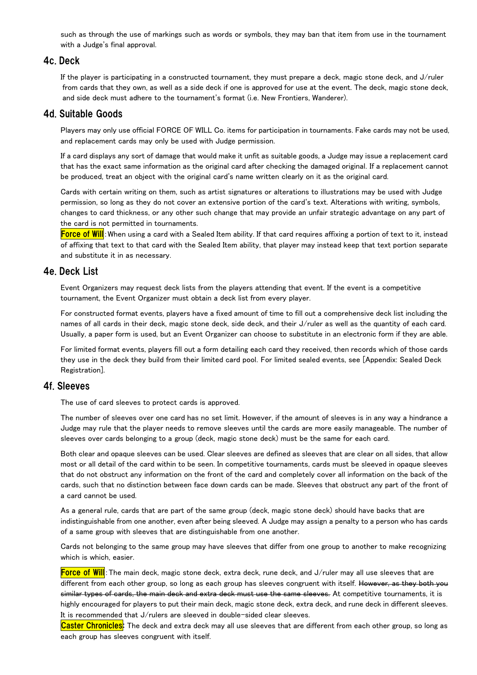such as through the use of markings such as words or symbols, they may ban that item from use in the tournament with a Judge's final approval.

#### 4c. Deck

If the player is participating in a constructed tournament, they must prepare a deck, magic stone deck, and J/ruler from cards that they own, as well as a side deck if one is approved for use at the event. The deck, magic stone deck, and side deck must adhere to the tournament's format (i.e. New Frontiers, Wanderer).

#### 4d. Suitable Goods

Players may only use official FORCE OF WILL Co. items for participation in tournaments. Fake cards may not be used, and replacement cards may only be used with Judge permission.

If a card displays any sort of damage that would make it unfit as suitable goods, a Judge may issue a replacement card that has the exact same information as the original card after checking the damaged original. If a replacement cannot be produced, treat an object with the original card's name written clearly on it as the original card.

Cards with certain writing on them, such as artist signatures or alterations to illustrations may be used with Judge permission, so long as they do not cover an extensive portion of the card's text. Alterations with writing, symbols, changes to card thickness, or any other such change that may provide an unfair strategic advantage on any part of the card is not permitted in tournaments.

Force of Will: When using a card with a Sealed Item ability. If that card requires affixing a portion of text to it, instead of affixing that text to that card with the Sealed Item ability, that player may instead keep that text portion separate and substitute it in as necessary.

#### 4e. Deck List

Event Organizers may request deck lists from the players attending that event. If the event is a competitive tournament, the Event Organizer must obtain a deck list from every player.

For constructed format events, players have a fixed amount of time to fill out a comprehensive deck list including the names of all cards in their deck, magic stone deck, side deck, and their J/ruler as well as the quantity of each card. Usually, a paper form is used, but an Event Organizer can choose to substitute in an electronic form if they are able.

For limited format events, players fill out a form detailing each card they received, then records which of those cards they use in the deck they build from their limited card pool. For limited sealed events, see [Appendix: Sealed Deck Registration].

#### 4f. Sleeves

The use of card sleeves to protect cards is approved.

The number of sleeves over one card has no set limit. However, if the amount of sleeves is in any way a hindrance a Judge may rule that the player needs to remove sleeves until the cards are more easily manageable. The number of sleeves over cards belonging to a group (deck, magic stone deck) must be the same for each card.

Both clear and opaque sleeves can be used. Clear sleeves are defined as sleeves that are clear on all sides, that allow most or all detail of the card within to be seen. In competitive tournaments, cards must be sleeved in opaque sleeves that do not obstruct any information on the front of the card and completely cover all information on the back of the cards, such that no distinction between face down cards can be made. Sleeves that obstruct any part of the front of a card cannot be used.

As a general rule, cards that are part of the same group (deck, magic stone deck) should have backs that are indistinguishable from one another, even after being sleeved. A Judge may assign a penalty to a person who has cards of a same group with sleeves that are distinguishable from one another.

Cards not belonging to the same group may have sleeves that differ from one group to another to make recognizing which is which, easier.

Force of Will: The main deck, magic stone deck, extra deck, rune deck, and J/ruler may all use sleeves that are different from each other group, so long as each group has sleeves congruent with itself. However, as they both you similar types of cards, the main deck and extra deck must use the same sleeves. At competitive tournaments, it is highly encouraged for players to put their main deck, magic stone deck, extra deck, and rune deck in different sleeves. It is recommended that J/rulers are sleeved in double-sided clear sleeves.

Caster Chronicles: The deck and extra deck may all use sleeves that are different from each other group, so long as each group has sleeves congruent with itself.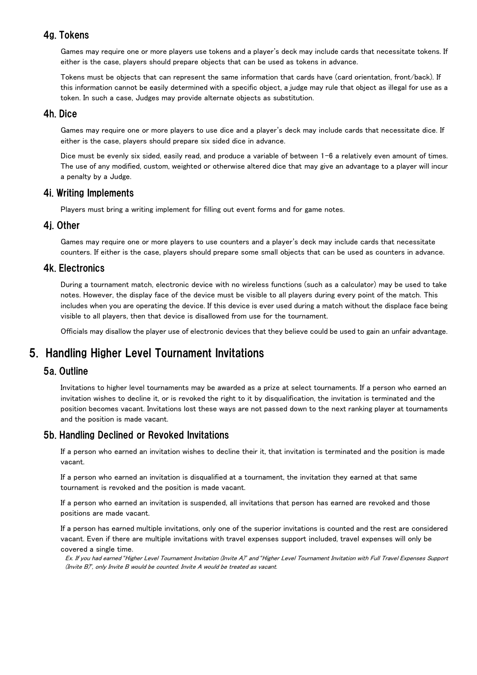# 4g. Tokens

Games may require one or more players use tokens and a player's deck may include cards that necessitate tokens. If either is the case, players should prepare objects that can be used as tokens in advance.

Tokens must be objects that can represent the same information that cards have (card orientation, front/back). If this information cannot be easily determined with a specific object, a judge may rule that object as illegal for use as a token. In such a case, Judges may provide alternate objects as substitution.

# 4h. Dice

Games may require one or more players to use dice and a player's deck may include cards that necessitate dice. If either is the case, players should prepare six sided dice in advance.

Dice must be evenly six sided, easily read, and produce a variable of between 1-6 a relatively even amount of times. The use of any modified, custom, weighted or otherwise altered dice that may give an advantage to a player will incur a penalty by a Judge.

# 4i. Writing Implements

Players must bring a writing implement for filling out event forms and for game notes.

## 4j. Other

Games may require one or more players to use counters and a player's deck may include cards that necessitate counters. If either is the case, players should prepare some small objects that can be used as counters in advance.

# 4k. Electronics

During a tournament match, electronic device with no wireless functions (such as a calculator) may be used to take notes. However, the display face of the device must be visible to all players during every point of the match. This includes when you are operating the device. If this device is ever used during a match without the displace face being visible to all players, then that device is disallowed from use for the tournament.

Officials may disallow the player use of electronic devices that they believe could be used to gain an unfair advantage.

# 5. Handling Higher Level Tournament Invitations

# 5a. Outline

Invitations to higher level tournaments may be awarded as a prize at select tournaments. If a person who earned an invitation wishes to decline it, or is revoked the right to it by disqualification, the invitation is terminated and the position becomes vacant. Invitations lost these ways are not passed down to the next ranking player at tournaments and the position is made vacant.

# 5b. Handling Declined or Revoked Invitations

If a person who earned an invitation wishes to decline their it, that invitation is terminated and the position is made vacant.

If a person who earned an invitation is disqualified at a tournament, the invitation they earned at that same tournament is revoked and the position is made vacant.

If a person who earned an invitation is suspended, all invitations that person has earned are revoked and those positions are made vacant.

If a person has earned multiple invitations, only one of the superior invitations is counted and the rest are considered vacant. Even if there are multiple invitations with travel expenses support included, travel expenses will only be covered a single time.

Ex. If you had earned *"*Higher Level Tournament Invitation (Invite A)*"* and *"*Higher Level Tournament Invitation with Full Travel Expenses Support (Invite B)*"*, only Invite B would be counted. Invite A would be treated as vacant.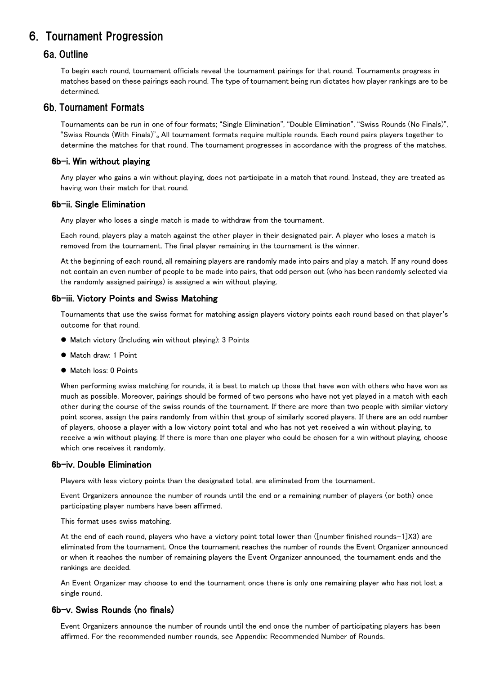# 6. Tournament Progression

## 6a. Outline

To begin each round, tournament officials reveal the tournament pairings for that round. Tournaments progress in matches based on these pairings each round. The type of tournament being run dictates how player rankings are to be determined.

## 6b. Tournament Formats

Tournaments can be run in one of four formats; "Single Elimination", "Double Elimination", "Swiss Rounds (No Finals)", "Swiss Rounds (With Finals)"。All tournament formats require multiple rounds. Each round pairs players together to determine the matches for that round. The tournament progresses in accordance with the progress of the matches.

#### 6b-i. Win without playing

Any player who gains a win without playing, does not participate in a match that round. Instead, they are treated as having won their match for that round.

#### 6b-ii. Single Elimination

Any player who loses a single match is made to withdraw from the tournament.

Each round, players play a match against the other player in their designated pair. A player who loses a match is removed from the tournament. The final player remaining in the tournament is the winner.

At the beginning of each round, all remaining players are randomly made into pairs and play a match. If any round does not contain an even number of people to be made into pairs, that odd person out (who has been randomly selected via the randomly assigned pairings) is assigned a win without playing.

#### 6b-iii. Victory Points and Swiss Matching

Tournaments that use the swiss format for matching assign players victory points each round based on that player's outcome for that round.

- Match victory (Including win without playing): 3 Points
- Match draw: 1 Point
- $\bullet$  Match loss: 0 Points

When performing swiss matching for rounds, it is best to match up those that have won with others who have won as much as possible. Moreover, pairings should be formed of two persons who have not yet played in a match with each other during the course of the swiss rounds of the tournament. If there are more than two people with similar victory point scores, assign the pairs randomly from within that group of similarly scored players. If there are an odd number of players, choose a player with a low victory point total and who has not yet received a win without playing, to receive a win without playing. If there is more than one player who could be chosen for a win without playing, choose which one receives it randomly.

#### 6b-iv. Double Elimination

Players with less victory points than the designated total, are eliminated from the tournament.

Event Organizers announce the number of rounds until the end or a remaining number of players (or both) once participating player numbers have been affirmed.

This format uses swiss matching.

At the end of each round, players who have a victory point total lower than ([number finished rounds-1]X3) are eliminated from the tournament. Once the tournament reaches the number of rounds the Event Organizer announced or when it reaches the number of remaining players the Event Organizer announced, the tournament ends and the rankings are decided.

An Event Organizer may choose to end the tournament once there is only one remaining player who has not lost a single round.

#### 6b-v. Swiss Rounds (no finals)

Event Organizers announce the number of rounds until the end once the number of participating players has been affirmed. For the recommended number rounds, see Appendix: Recommended Number of Rounds.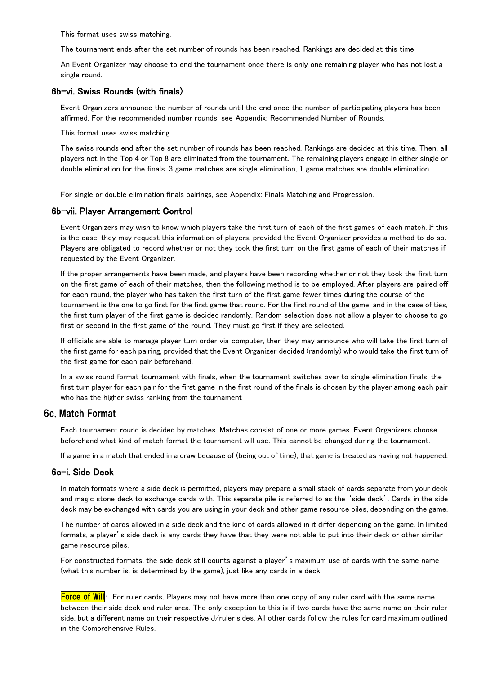This format uses swiss matching.

The tournament ends after the set number of rounds has been reached. Rankings are decided at this time.

An Event Organizer may choose to end the tournament once there is only one remaining player who has not lost a single round.

#### 6b-vi. Swiss Rounds (with finals)

Event Organizers announce the number of rounds until the end once the number of participating players has been affirmed. For the recommended number rounds, see Appendix: Recommended Number of Rounds.

This format uses swiss matching.

The swiss rounds end after the set number of rounds has been reached. Rankings are decided at this time. Then, all players not in the Top 4 or Top 8 are eliminated from the tournament. The remaining players engage in either single or double elimination for the finals. 3 game matches are single elimination, 1 game matches are double elimination.

For single or double elimination finals pairings, see Appendix: Finals Matching and Progression.

#### 6b-vii. Player Arrangement Control

Event Organizers may wish to know which players take the first turn of each of the first games of each match. If this is the case, they may request this information of players, provided the Event Organizer provides a method to do so. Players are obligated to record whether or not they took the first turn on the first game of each of their matches if requested by the Event Organizer.

If the proper arrangements have been made, and players have been recording whether or not they took the first turn on the first game of each of their matches, then the following method is to be employed. After players are paired off for each round, the player who has taken the first turn of the first game fewer times during the course of the tournament is the one to go first for the first game that round. For the first round of the game, and in the case of ties, the first turn player of the first game is decided randomly. Random selection does not allow a player to choose to go first or second in the first game of the round. They must go first if they are selected.

If officials are able to manage player turn order via computer, then they may announce who will take the first turn of the first game for each pairing, provided that the Event Organizer decided (randomly) who would take the first turn of the first game for each pair beforehand.

In a swiss round format tournament with finals, when the tournament switches over to single elimination finals, the first turn player for each pair for the first game in the first round of the finals is chosen by the player among each pair who has the higher swiss ranking from the tournament

#### 6c. Match Format

Each tournament round is decided by matches. Matches consist of one or more games. Event Organizers choose beforehand what kind of match format the tournament will use. This cannot be changed during the tournament.

If a game in a match that ended in a draw because of (being out of time), that game is treated as having not happened.

#### 6c-i. Side Deck

In match formats where a side deck is permitted, players may prepare a small stack of cards separate from your deck and magic stone deck to exchange cards with. This separate pile is referred to as the 'side deck'. Cards in the side deck may be exchanged with cards you are using in your deck and other game resource piles, depending on the game.

The number of cards allowed in a side deck and the kind of cards allowed in it differ depending on the game. In limited formats, a player's side deck is any cards they have that they were not able to put into their deck or other similar game resource piles.

For constructed formats, the side deck still counts against a player's maximum use of cards with the same name (what this number is, is determined by the game), just like any cards in a deck.

Force of Will: For ruler cards, Players may not have more than one copy of any ruler card with the same name between their side deck and ruler area. The only exception to this is if two cards have the same name on their ruler side, but a different name on their respective J/ruler sides. All other cards follow the rules for card maximum outlined in the Comprehensive Rules.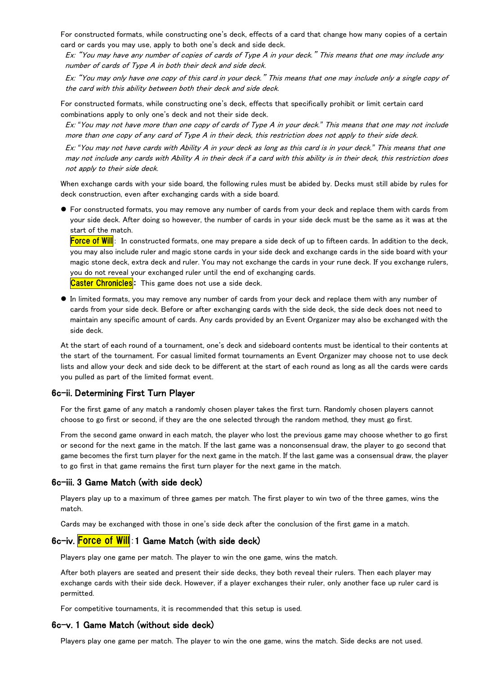For constructed formats, while constructing one's deck, effects of a card that change how many copies of a certain card or cards you may use, apply to both one's deck and side deck.

Ex: "You may have any number of copies of cards of Type A in your deck." This means that one may include any number of cards of Type A in both their deck and side deck.

Ex: "You may only have one copy of this card in your deck." This means that one may include only a single copy of the card with this ability between both their deck and side deck.

For constructed formats, while constructing one's deck, effects that specifically prohibit or limit certain card combinations apply to only one's deck and not their side deck.

Ex: *"*You may not have more than one copy of cards of Type A in your deck.*"* This means that one may not include more than one copy of any card of Type A in their deck, this restriction does not apply to their side deck.

Ex: *"*You may not have cards with Ability A in your deck as long as this card is in your deck.*"* This means that one may not include any cards with Ability A in their deck if a card with this ability is in their deck, this restriction does not apply to their side deck.

When exchange cards with your side board, the following rules must be abided by. Decks must still abide by rules for deck construction, even after exchanging cards with a side board.

 For constructed formats, you may remove any number of cards from your deck and replace them with cards from your side deck. After doing so however, the number of cards in your side deck must be the same as it was at the start of the match.

Force of Will: In constructed formats, one may prepare a side deck of up to fifteen cards. In addition to the deck, you may also include ruler and magic stone cards in your side deck and exchange cards in the side board with your magic stone deck, extra deck and ruler. You may not exchange the cards in your rune deck. If you exchange rulers, you do not reveal your exchanged ruler until the end of exchanging cards.

Caster Chronicles: This game does not use a side deck.

 In limited formats, you may remove any number of cards from your deck and replace them with any number of cards from your side deck. Before or after exchanging cards with the side deck, the side deck does not need to maintain any specific amount of cards. Any cards provided by an Event Organizer may also be exchanged with the side deck.

At the start of each round of a tournament, one's deck and sideboard contents must be identical to their contents at the start of the tournament. For casual limited format tournaments an Event Organizer may choose not to use deck lists and allow your deck and side deck to be different at the start of each round as long as all the cards were cards you pulled as part of the limited format event.

#### 6c-ii. Determining First Turn Player

For the first game of any match a randomly chosen player takes the first turn. Randomly chosen players cannot choose to go first or second, if they are the one selected through the random method, they must go first.

From the second game onward in each match, the player who lost the previous game may choose whether to go first or second for the next game in the match. If the last game was a nonconsensual draw, the player to go second that game becomes the first turn player for the next game in the match. If the last game was a consensual draw, the player to go first in that game remains the first turn player for the next game in the match.

#### 6c-iii. 3 Game Match (with side deck)

Players play up to a maximum of three games per match. The first player to win two of the three games, wins the match.

Cards may be exchanged with those in one's side deck after the conclusion of the first game in a match.

#### 6c-iv. Force of Will: 1 Game Match (with side deck)

Players play one game per match. The player to win the one game, wins the match.

After both players are seated and present their side decks, they both reveal their rulers. Then each player may exchange cards with their side deck. However, if a player exchanges their ruler, only another face up ruler card is permitted.

For competitive tournaments, it is recommended that this setup is used.

#### 6c-v. 1 Game Match (without side deck)

Players play one game per match. The player to win the one game, wins the match. Side decks are not used.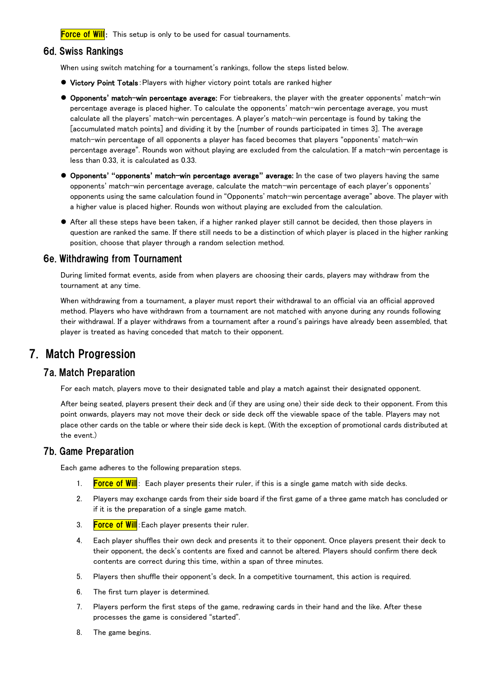**Force of Will**: This setup is only to be used for casual tournaments.

#### 6d. Swiss Rankings

When using switch matching for a tournament's rankings, follow the steps listed below.

- **Victory Point Totals: Players with higher victory point totals are ranked higher**
- Opponents**'** match-win percentage average: For tiebreakers, the player with the greater opponents' match-win percentage average is placed higher. To calculate the opponents' match-win percentage average, you must calculate all the players' match-win percentages. A player's match-win percentage is found by taking the [accumulated match points] and dividing it by the [number of rounds participated in times 3]. The average match-win percentage of all opponents a player has faced becomes that players "opponents' match-win percentage average". Rounds won without playing are excluded from the calculation. If a match-win percentage is less than 0.33, it is calculated as 0.33.
- Opponents**' "**opponents**'** match-win percentage average**"** average: In the case of two players having the same opponents' match-win percentage average, calculate the match-win percentage of each player's opponents' opponents using the same calculation found in "Opponents' match-win percentage average" above. The player with a higher value is placed higher. Rounds won without playing are excluded from the calculation.
- After all these steps have been taken, if a higher ranked player still cannot be decided, then those players in question are ranked the same. If there still needs to be a distinction of which player is placed in the higher ranking position, choose that player through a random selection method.

#### 6e. Withdrawing from Tournament

During limited format events, aside from when players are choosing their cards, players may withdraw from the tournament at any time.

When withdrawing from a tournament, a player must report their withdrawal to an official via an official approved method. Players who have withdrawn from a tournament are not matched with anyone during any rounds following their withdrawal. If a player withdraws from a tournament after a round's pairings have already been assembled, that player is treated as having conceded that match to their opponent.

# 7. Match Progression

## 7a. Match Preparation

For each match, players move to their designated table and play a match against their designated opponent.

After being seated, players present their deck and (if they are using one) their side deck to their opponent. From this point onwards, players may not move their deck or side deck off the viewable space of the table. Players may not place other cards on the table or where their side deck is kept. (With the exception of promotional cards distributed at the event.)

#### 7b. Game Preparation

Each game adheres to the following preparation steps.

- 1. **Force of Will**: Each player presents their ruler, if this is a single game match with side decks.
- 2. Players may exchange cards from their side board if the first game of a three game match has concluded or if it is the preparation of a single game match.
- 3. Force of Will: Each player presents their ruler.
- 4. Each player shuffles their own deck and presents it to their opponent. Once players present their deck to their opponent, the deck's contents are fixed and cannot be altered. Players should confirm there deck contents are correct during this time, within a span of three minutes.
- 5. Players then shuffle their opponent's deck. In a competitive tournament, this action is required.
- 6. The first turn player is determined.
- 7. Players perform the first steps of the game, redrawing cards in their hand and the like. After these processes the game is considered "started".
- 8. The game begins.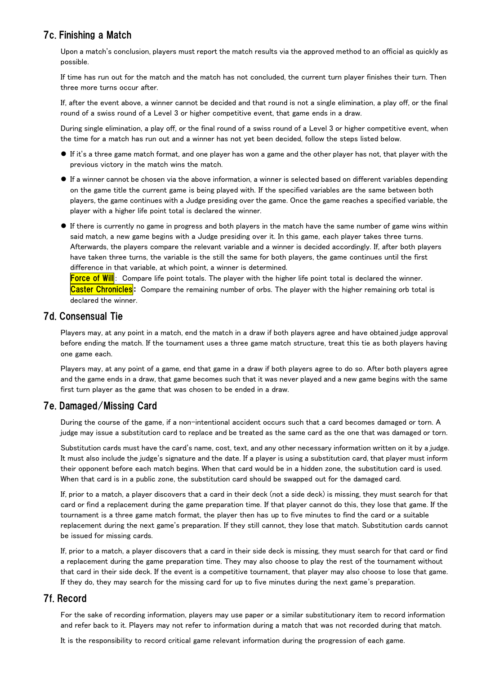# 7c. Finishing a Match

Upon a match's conclusion, players must report the match results via the approved method to an official as quickly as possible.

If time has run out for the match and the match has not concluded, the current turn player finishes their turn. Then three more turns occur after.

If, after the event above, a winner cannot be decided and that round is not a single elimination, a play off, or the final round of a swiss round of a Level 3 or higher competitive event, that game ends in a draw.

During single elimination, a play off, or the final round of a swiss round of a Level 3 or higher competitive event, when the time for a match has run out and a winner has not yet been decided, follow the steps listed below.

- If it's a three game match format, and one player has won a game and the other player has not, that player with the previous victory in the match wins the match.
- If a winner cannot be chosen via the above information, a winner is selected based on different variables depending on the game title the current game is being played with. If the specified variables are the same between both players, the game continues with a Judge presiding over the game. Once the game reaches a specified variable, the player with a higher life point total is declared the winner.
- If there is currently no game in progress and both players in the match have the same number of game wins within said match, a new game begins with a Judge presiding over it. In this game, each player takes three turns. Afterwards, the players compare the relevant variable and a winner is decided accordingly. If, after both players have taken three turns, the variable is the still the same for both players, the game continues until the first difference in that variable, at which point, a winner is determined.

Force of Will: Compare life point totals. The player with the higher life point total is declared the winner. Caster Chronicles: Compare the remaining number of orbs. The player with the higher remaining orb total is declared the winner.

# 7d. Consensual Tie

Players may, at any point in a match, end the match in a draw if both players agree and have obtained judge approval before ending the match. If the tournament uses a three game match structure, treat this tie as both players having one game each.

Players may, at any point of a game, end that game in a draw if both players agree to do so. After both players agree and the game ends in a draw, that game becomes such that it was never played and a new game begins with the same first turn player as the game that was chosen to be ended in a draw.

# 7e. Damaged/Missing Card

During the course of the game, if a non-intentional accident occurs such that a card becomes damaged or torn. A judge may issue a substitution card to replace and be treated as the same card as the one that was damaged or torn.

Substitution cards must have the card's name, cost, text, and any other necessary information written on it by a judge. It must also include the judge's signature and the date. If a player is using a substitution card, that player must inform their opponent before each match begins. When that card would be in a hidden zone, the substitution card is used. When that card is in a public zone, the substitution card should be swapped out for the damaged card.

If, prior to a match, a player discovers that a card in their deck (not a side deck) is missing, they must search for that card or find a replacement during the game preparation time. If that player cannot do this, they lose that game. If the tournament is a three game match format, the player then has up to five minutes to find the card or a suitable replacement during the next game's preparation. If they still cannot, they lose that match. Substitution cards cannot be issued for missing cards.

If, prior to a match, a player discovers that a card in their side deck is missing, they must search for that card or find a replacement during the game preparation time. They may also choose to play the rest of the tournament without that card in their side deck. If the event is a competitive tournament, that player may also choose to lose that game. If they do, they may search for the missing card for up to five minutes during the next game's preparation.

# 7f. Record

For the sake of recording information, players may use paper or a similar substitutionary item to record information and refer back to it. Players may not refer to information during a match that was not recorded during that match.

It is the responsibility to record critical game relevant information during the progression of each game.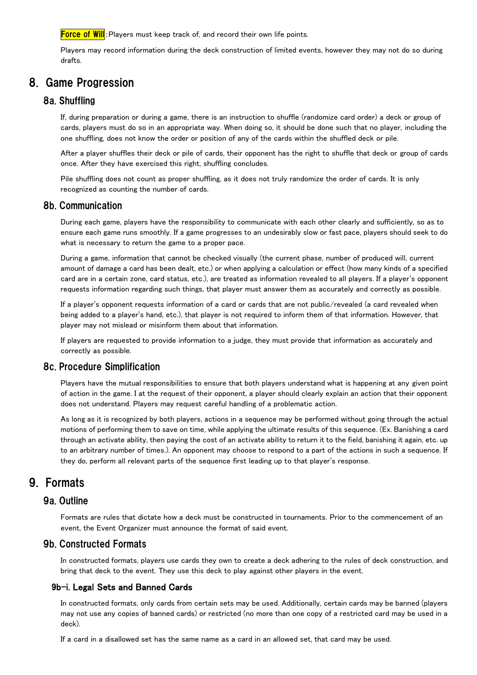**Force of Will**: Players must keep track of, and record their own life points.

Players may record information during the deck construction of limited events, however they may not do so during drafts.

# 8. Game Progression

#### 8a. Shuffling

If, during preparation or during a game, there is an instruction to shuffle (randomize card order) a deck or group of cards, players must do so in an appropriate way. When doing so, it should be done such that no player, including the one shuffling, does not know the order or position of any of the cards within the shuffled deck or pile.

After a player shuffles their deck or pile of cards, their opponent has the right to shuffle that deck or group of cards once. After they have exercised this right, shuffling concludes.

Pile shuffling does not count as proper shuffling, as it does not truly randomize the order of cards. It is only recognized as counting the number of cards.

#### 8b. Communication

During each game, players have the responsibility to communicate with each other clearly and sufficiently, so as to ensure each game runs smoothly. If a game progresses to an undesirably slow or fast pace, players should seek to do what is necessary to return the game to a proper pace.

During a game, information that cannot be checked visually (the current phase, number of produced will, current amount of damage a card has been dealt, etc.) or when applying a calculation or effect (how many kinds of a specified card are in a certain zone, card status, etc.), are treated as information revealed to all players. If a player's opponent requests information regarding such things, that player must answer them as accurately and correctly as possible.

If a player's opponent requests information of a card or cards that are not public/revealed (a card revealed when being added to a player's hand, etc.), that player is not required to inform them of that information. However, that player may not mislead or misinform them about that information.

If players are requested to provide information to a judge, they must provide that information as accurately and correctly as possible.

## 8c. Procedure Simplification

Players have the mutual responsibilities to ensure that both players understand what is happening at any given point of action in the game. I at the request of their opponent, a player should clearly explain an action that their opponent does not understand. Players may request careful handling of a problematic action.

As long as it is recognized by both players, actions in a sequence may be performed without going through the actual motions of performing them to save on time, while applying the ultimate results of this sequence. (Ex. Banishing a card through an activate ability, then paying the cost of an activate ability to return it to the field, banishing it again, etc. up to an arbitrary number of times.). An opponent may choose to respond to a part of the actions in such a sequence. If they do, perform all relevant parts of the sequence first leading up to that player's response.

# 9. Formats

#### 9a. Outline

Formats are rules that dictate how a deck must be constructed in tournaments. Prior to the commencement of an event, the Event Organizer must announce the format of said event.

#### 9b. Constructed Formats

In constructed formats, players use cards they own to create a deck adhering to the rules of deck construction, and bring that deck to the event. They use this deck to play against other players in the event.

#### 9b-i. Legal Sets and Banned Cards

In constructed formats, only cards from certain sets may be used. Additionally, certain cards may be banned (players may not use any copies of banned cards) or restricted (no more than one copy of a restricted card may be used in a deck).

If a card in a disallowed set has the same name as a card in an allowed set, that card may be used.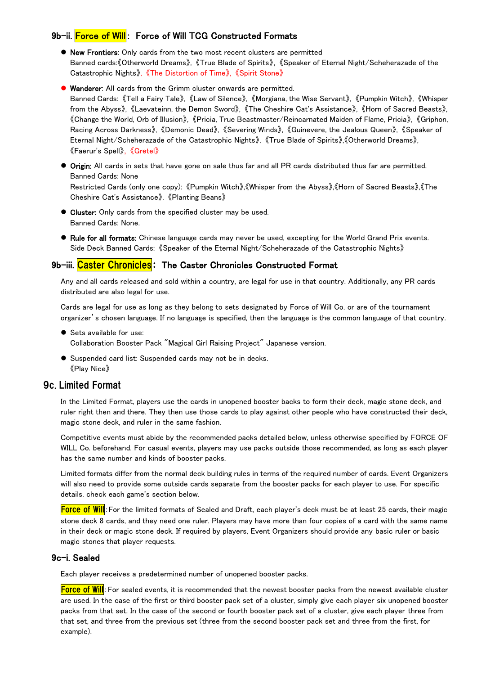## 9b-ii. Force of Will: Force of Will TCG Constructed Formats

- New Frontiers: Only cards from the two most recent clusters are permitted Banned cards:《Otherworld Dreams》, 《True Blade of Spirits》, 《Speaker of Eternal Night/Scheherazade of the Catastrophic Nights》, 《The Distortion of Time》, 《Spirit Stone》
- Wanderer: All cards from the Grimm cluster onwards are permitted. Banned Cards: 《Tell a Fairy Tale》, 《Law of Silence》, 《Morgiana, the Wise Servant》, 《Pumpkin Witch》, 《Whisper from the Abyss》, 《Laevateinn, the Demon Sword》, 《The Cheshire Cat's Assistance》, 《Horn of Sacred Beasts》, 《Change the World, Orb of Illusion》, 《Pricia, True Beastmaster/Reincarnated Maiden of Flame, Pricia》, 《Griphon, Racing Across Darkness》, 《Demonic Dead》, 《Severing Winds》, 《Guinevere, the Jealous Queen》, 《Speaker of Eternal Night/Scheherazade of the Catastrophic Nights》, 《True Blade of Spirits》,《Otherworld Dreams》, 《Faerur's Spell》, 《Gretel》
- Origin: All cards in sets that have gone on sale thus far and all PR cards distributed thus far are permitted. Banned Cards: None Restricted Cards (only one copy): 《Pumpkin Witch》,《Whisper from the Abyss》,《Horn of Sacred Beasts》,《The Cheshire Cat's Assistance》, 《Planting Beans》
- Cluster: Only cards from the specified cluster may be used. Banned Cards: None.
- Rule for all formats: Chinese language cards may never be used, excepting for the World Grand Prix events. Side Deck Banned Cards: 《Speaker of the Eternal Night/Scheherazade of the Catastrophic Nights》

#### 9b-iii. Caster Chronicles: The Caster Chronicles Constructed Format

Any and all cards released and sold within a country, are legal for use in that country. Additionally, any PR cards distributed are also legal for use.

Cards are legal for use as long as they belong to sets designated by Force of Will Co. or are of the tournament organizer's chosen language. If no language is specified, then the language is the common language of that country.

● Sets available for use:

Collaboration Booster Pack "Magical Girl Raising Project" Japanese version.

 Suspended card list: Suspended cards may not be in decks. 《Play Nice》

## 9c. Limited Format

In the Limited Format, players use the cards in unopened booster backs to form their deck, magic stone deck, and ruler right then and there. They then use those cards to play against other people who have constructed their deck, magic stone deck, and ruler in the same fashion.

Competitive events must abide by the recommended packs detailed below, unless otherwise specified by FORCE OF WILL Co. beforehand. For casual events, players may use packs outside those recommended, as long as each player has the same number and kinds of booster packs.

Limited formats differ from the normal deck building rules in terms of the required number of cards. Event Organizers will also need to provide some outside cards separate from the booster packs for each player to use. For specific details, check each game's section below.

Force of Will: For the limited formats of Sealed and Draft, each player's deck must be at least 25 cards, their magic stone deck 8 cards, and they need one ruler. Players may have more than four copies of a card with the same name in their deck or magic stone deck. If required by players, Event Organizers should provide any basic ruler or basic magic stones that player requests.

#### 9c-i. Sealed

Each player receives a predetermined number of unopened booster packs.

Force of Will: For sealed events, it is recommended that the newest booster packs from the newest available cluster are used. In the case of the first or third booster pack set of a cluster, simply give each player six unopened booster packs from that set. In the case of the second or fourth booster pack set of a cluster, give each player three from that set, and three from the previous set (three from the second booster pack set and three from the first, for example).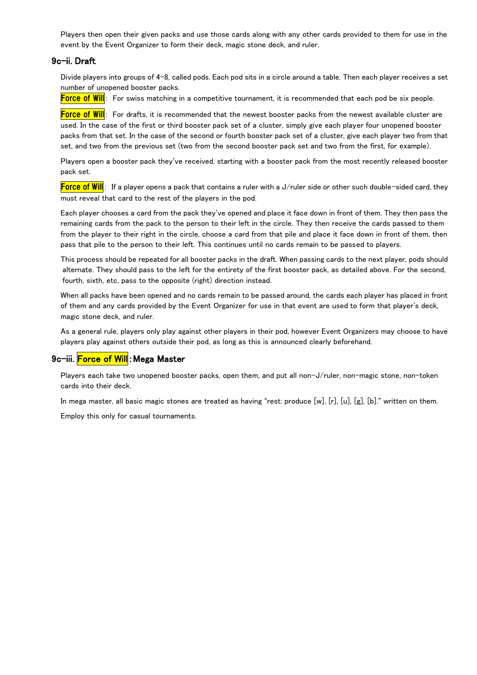Players then open their given packs and use those cards along with any other cards provided to them for use in the event by the Event Organizer to form their deck, magic stone deck, and ruler.

#### 9c-ii. Draft

Divide players into groups of 4-8, called pods. Each pod sits in a circle around a table. Then each player receives a set number of unopened booster packs.

Force of Will: For swiss matching in a competitive tournament, it is recommended that each pod be six people.

**Force of Will**: For drafts, it is recommended that the newest booster packs from the newest available cluster are used. In the case of the first or third booster pack set of a cluster, simply give each player four unopened booster packs from that set. In the case of the second or fourth booster pack set of a cluster, give each player two from that set, and two from the previous set (two from the second booster pack set and two from the first, for example).

Players open a booster pack they've received, starting with a booster pack from the most recently released booster pack set.

**Force of Will**: If a player opens a pack that contains a ruler with a J/ruler side or other such double-sided card, they must reveal that card to the rest of the players in the pod.

Each player chooses a card from the pack they've opened and place it face down in front of them. They then pass the remaining cards from the pack to the person to their left in the circle. They then receive the cards passed to them from the player to their right in the circle, choose a card from that pile and place it face down in front of them, then pass that pile to the person to their left. This continues until no cards remain to be passed to players.

This process should be repeated for all booster packs in the draft. When passing cards to the next player, pods should alternate. They should pass to the left for the entirety of the first booster pack, as detailed above. For the second, fourth, sixth, etc, pass to the opposite (right) direction instead.

When all packs have been opened and no cards remain to be passed around, the cards each player has placed in front of them and any cards provided by the Event Organizer for use in that event are used to form that player's deck, magic stone deck, and ruler.

As a general rule, players only play against other players in their pod, however Event Organizers may choose to have players play against others outside their pod, as long as this is announced clearly beforehand.

#### 9c-iii. Force of Will: Mega Master

Players each take two unopened booster packs, open them, and put all non-J/ruler, non-magic stone, non-token cards into their deck.

In mega master, all basic magic stones are treated as having "rest: produce [w], [r], [u], [g], [b]." written on them.

Employ this only for casual tournaments.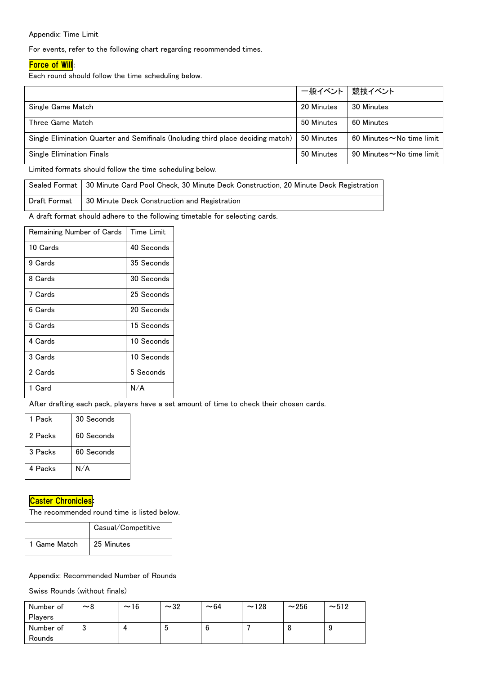#### Appendix: Time Limit

For events, refer to the following chart regarding recommended times.

#### **Force of Will**:

Each round should follow the time scheduling below.

|                                                                                  | 一般イベント   競技イベント |                                 |
|----------------------------------------------------------------------------------|-----------------|---------------------------------|
| Single Game Match                                                                | 20 Minutes      | 30 Minutes                      |
| Three Game Match                                                                 | 50 Minutes      | 60 Minutes                      |
| Single Elimination Quarter and Semifinals (Including third place deciding match) | 50 Minutes      | 60 Minutes $\sim$ No time limit |
| <b>Single Elimination Finals</b>                                                 | 50 Minutes      | 90 Minutes $\sim$ No time limit |
|                                                                                  |                 |                                 |

Limited formats should follow the time scheduling below.

| Sealed Format   30 Minute Card Pool Check, 30 Minute Deck Construction, 20 Minute Deck Registration |
|-----------------------------------------------------------------------------------------------------|
| Draft Format   30 Minute Deck Construction and Registration                                         |

A draft format should adhere to the following timetable for selecting cards.

| Remaining Number of Cards | <b>Time Limit</b> |
|---------------------------|-------------------|
| 10 Cards                  | 40 Seconds        |
| 9 Cards                   | 35 Seconds        |
| 8 Cards                   | 30 Seconds        |
| 7 Cards                   | 25 Seconds        |
| 6 Cards                   | 20 Seconds        |
| 5 Cards                   | 15 Seconds        |
| 4 Cards                   | 10 Seconds        |
| 3 Cards                   | 10 Seconds        |
| 2 Cards                   | 5 Seconds         |
| 1 Card                    | N/A               |

After drafting each pack, players have a set amount of time to check their chosen cards.

| 1 Pack  | 30 Seconds |
|---------|------------|
| 2 Packs | 60 Seconds |
| 3 Packs | 60 Seconds |
| 4 Packs | N/A        |

#### **Caster Chronicles:**

The recommended round time is listed below.

|              | Casual/Competitive |
|--------------|--------------------|
| 1 Game Match | 25 Minutes         |

#### Appendix: Recommended Number of Rounds

Swiss Rounds (without finals)

| Number of | $~\sim$ 8 | ~16 | $\sim$ 32 | $~1$ – 64 | ~128 | ~256 | ~12 |
|-----------|-----------|-----|-----------|-----------|------|------|-----|
| Players   |           |     |           |           |      |      |     |
| Number of | υ         |     | u         |           |      | u    |     |
| Rounds    |           |     |           |           |      |      |     |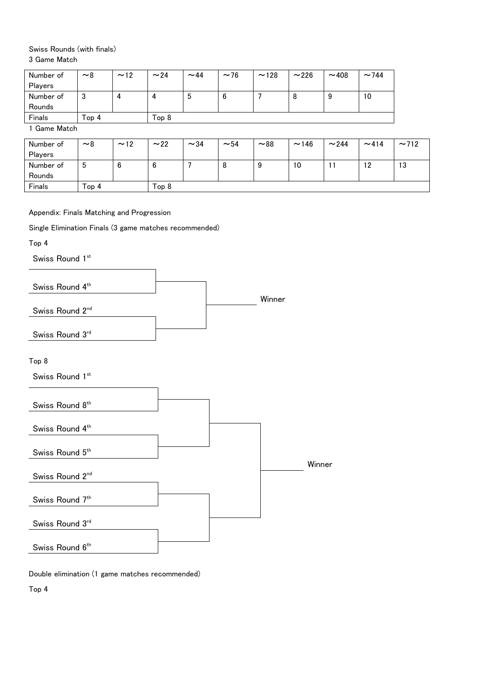#### Swiss Rounds (with finals) 3 Game Match

| Number of | ~8    | ~12 | ~24          | $~1$ $~44$ | $~1$ $~1$ $~1$ | ~128 | ~226 | ~108 | $~1$ $~144$ |
|-----------|-------|-----|--------------|------------|----------------|------|------|------|-------------|
| Players   |       |     |              |            |                |      |      |      |             |
| Number of | υ     |     | $\mathbf{u}$ | C          | b              |      | 8    | 9    | 10          |
| Rounds    |       |     |              |            |                |      |      |      |             |
| Finals    | Top 4 |     | Top 8        |            |                |      |      |      |             |

1 Game Match

| Number of | $~\sim$ 8 | ~12 | ~22              | $\sim$ 34 | $~1$ – 54 | ~88 | ~146 | $\sim$ 244 | ~14 | ~2712 |
|-----------|-----------|-----|------------------|-----------|-----------|-----|------|------------|-----|-------|
| Players   |           |     |                  |           |           |     |      |            |     |       |
| Number of | C         | b   | b                |           | υ         | У   | 10   |            | 12  | 13    |
| Rounds    |           |     |                  |           |           |     |      |            |     |       |
| Finals    | Top 4     |     | Top <sub>8</sub> |           |           |     |      |            |     |       |

Appendix: Finals Matching and Progression

Single Elimination Finals (3 game matches recommended)

Top 4

Swiss Round 1st



Double elimination (1 game matches recommended)

Top 4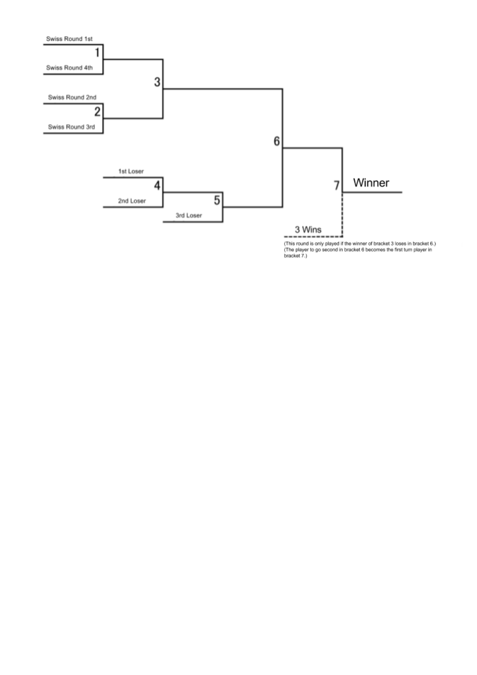

(This round is only played if the winner of bracket 3 loses in bracket 6.)<br>(The player to go second in bracket 6 becomes the first turn player in<br>bracket 7.)